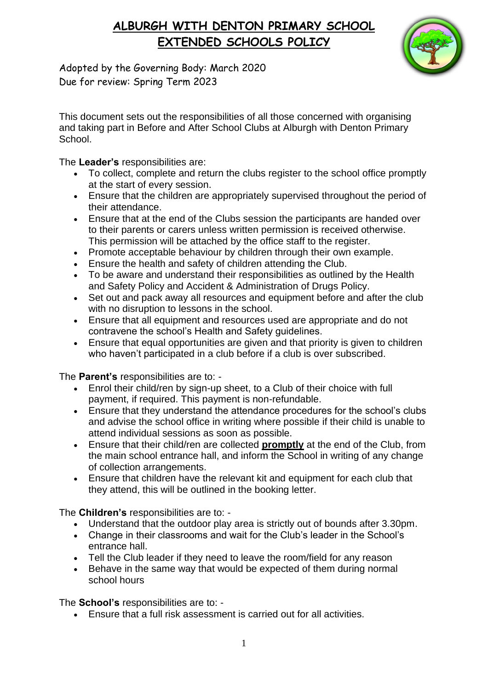# **ALBURGH WITH DENTON PRIMARY SCHOOL EXTENDED SCHOOLS POLICY**



Adopted by the Governing Body: March 2020 Due for review: Spring Term 2023

This document sets out the responsibilities of all those concerned with organising and taking part in Before and After School Clubs at Alburgh with Denton Primary School.

#### The **Leader's** responsibilities are:

- To collect, complete and return the clubs register to the school office promptly at the start of every session.
- Ensure that the children are appropriately supervised throughout the period of their attendance.
- Ensure that at the end of the Clubs session the participants are handed over to their parents or carers unless written permission is received otherwise. This permission will be attached by the office staff to the register.
- Promote acceptable behaviour by children through their own example.
- Ensure the health and safety of children attending the Club.
- To be aware and understand their responsibilities as outlined by the Health and Safety Policy and Accident & Administration of Drugs Policy.
- Set out and pack away all resources and equipment before and after the club with no disruption to lessons in the school.
- Ensure that all equipment and resources used are appropriate and do not contravene the school's Health and Safety guidelines.
- Ensure that equal opportunities are given and that priority is given to children who haven't participated in a club before if a club is over subscribed.

### The **Parent's** responsibilities are to: -

- Enrol their child/ren by sign-up sheet, to a Club of their choice with full payment, if required. This payment is non-refundable.
- Ensure that they understand the attendance procedures for the school's clubs and advise the school office in writing where possible if their child is unable to attend individual sessions as soon as possible.
- Ensure that their child/ren are collected **promptly** at the end of the Club, from the main school entrance hall, and inform the School in writing of any change of collection arrangements.
- Ensure that children have the relevant kit and equipment for each club that they attend, this will be outlined in the booking letter.

The **Children's** responsibilities are to: -

- Understand that the outdoor play area is strictly out of bounds after 3.30pm.
- Change in their classrooms and wait for the Club's leader in the School's entrance hall.
- Tell the Club leader if they need to leave the room/field for any reason
- Behave in the same way that would be expected of them during normal school hours

The **School's** responsibilities are to: -

• Ensure that a full risk assessment is carried out for all activities.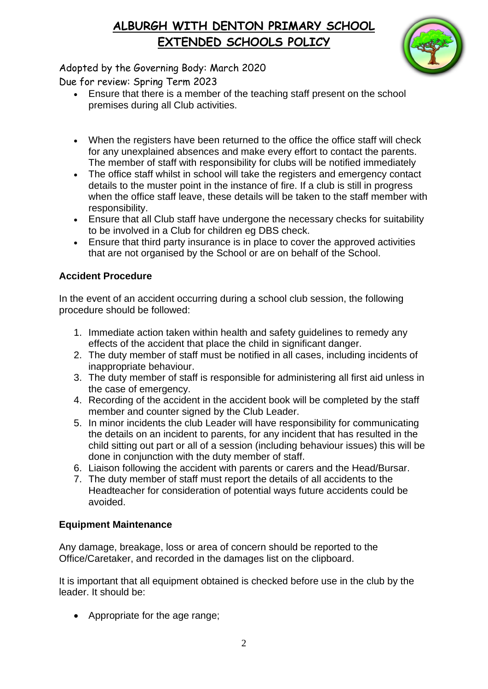# **ALBURGH WITH DENTON PRIMARY SCHOOL EXTENDED SCHOOLS POLICY**



Adopted by the Governing Body: March 2020

Due for review: Spring Term 2023

- Ensure that there is a member of the teaching staff present on the school premises during all Club activities.
- When the registers have been returned to the office the office staff will check for any unexplained absences and make every effort to contact the parents. The member of staff with responsibility for clubs will be notified immediately
- The office staff whilst in school will take the registers and emergency contact details to the muster point in the instance of fire. If a club is still in progress when the office staff leave, these details will be taken to the staff member with responsibility.
- Ensure that all Club staff have undergone the necessary checks for suitability to be involved in a Club for children eg DBS check.
- Ensure that third party insurance is in place to cover the approved activities that are not organised by the School or are on behalf of the School.

## **Accident Procedure**

In the event of an accident occurring during a school club session, the following procedure should be followed:

- 1. Immediate action taken within health and safety guidelines to remedy any effects of the accident that place the child in significant danger.
- 2. The duty member of staff must be notified in all cases, including incidents of inappropriate behaviour.
- 3. The duty member of staff is responsible for administering all first aid unless in the case of emergency.
- 4. Recording of the accident in the accident book will be completed by the staff member and counter signed by the Club Leader.
- 5. In minor incidents the club Leader will have responsibility for communicating the details on an incident to parents, for any incident that has resulted in the child sitting out part or all of a session (including behaviour issues) this will be done in conjunction with the duty member of staff.
- 6. Liaison following the accident with parents or carers and the Head/Bursar.
- 7. The duty member of staff must report the details of all accidents to the Headteacher for consideration of potential ways future accidents could be avoided.

## **Equipment Maintenance**

Any damage, breakage, loss or area of concern should be reported to the Office/Caretaker, and recorded in the damages list on the clipboard.

It is important that all equipment obtained is checked before use in the club by the leader. It should be:

• Appropriate for the age range;